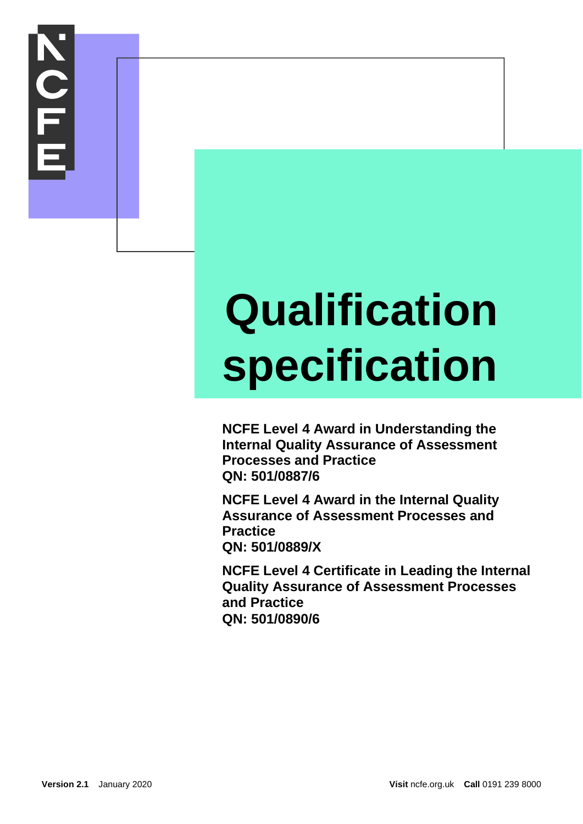# **NOLL**

### **Qualification specification**

**NCFE Level 4 Award in Understanding the Internal Quality Assurance of Assessment Processes and Practice QN: 501/0887/6**

**NCFE Level 4 Award in the Internal Quality Assurance of Assessment Processes and Practice QN: 501/0889/X**

**NCFE Level 4 Certificate in Leading the Internal Quality Assurance of Assessment Processes and Practice QN: 501/0890/6**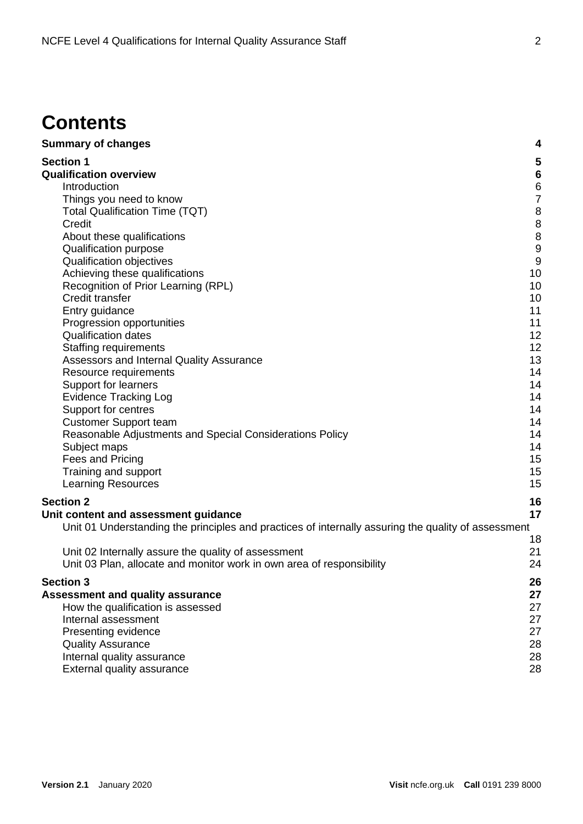#### **Contents**

| <b>Summary of changes</b>                                                                                                                                                                                                                                                                                                                                                                                                                                                                                                                                                                                                                                                                                                                               | 4                                                                                                                                                                                                         |
|---------------------------------------------------------------------------------------------------------------------------------------------------------------------------------------------------------------------------------------------------------------------------------------------------------------------------------------------------------------------------------------------------------------------------------------------------------------------------------------------------------------------------------------------------------------------------------------------------------------------------------------------------------------------------------------------------------------------------------------------------------|-----------------------------------------------------------------------------------------------------------------------------------------------------------------------------------------------------------|
| <b>Section 1</b><br><b>Qualification overview</b><br>Introduction<br>Things you need to know<br><b>Total Qualification Time (TQT)</b><br>Credit<br>About these qualifications<br>Qualification purpose<br>Qualification objectives<br>Achieving these qualifications<br>Recognition of Prior Learning (RPL)<br>Credit transfer<br>Entry guidance<br>Progression opportunities<br><b>Qualification dates</b><br><b>Staffing requirements</b><br>Assessors and Internal Quality Assurance<br>Resource requirements<br>Support for learners<br><b>Evidence Tracking Log</b><br>Support for centres<br><b>Customer Support team</b><br>Reasonable Adjustments and Special Considerations Policy<br>Subject maps<br>Fees and Pricing<br>Training and support | 5<br>$6\phantom{1}6$<br>$\begin{array}{c} 6 \\ 7 \end{array}$<br>8<br>8<br>8<br>$\overline{9}$<br>9<br>10<br>10<br>10<br>11<br>11<br>12<br>12<br>13<br>14<br>14<br>14<br>14<br>14<br>14<br>14<br>15<br>15 |
| <b>Learning Resources</b>                                                                                                                                                                                                                                                                                                                                                                                                                                                                                                                                                                                                                                                                                                                               | 15                                                                                                                                                                                                        |
| <b>Section 2</b>                                                                                                                                                                                                                                                                                                                                                                                                                                                                                                                                                                                                                                                                                                                                        | 16                                                                                                                                                                                                        |
| Unit content and assessment guidance                                                                                                                                                                                                                                                                                                                                                                                                                                                                                                                                                                                                                                                                                                                    | 17                                                                                                                                                                                                        |
| Unit 01 Understanding the principles and practices of internally assuring the quality of assessment                                                                                                                                                                                                                                                                                                                                                                                                                                                                                                                                                                                                                                                     | 18                                                                                                                                                                                                        |
| Unit 02 Internally assure the quality of assessment                                                                                                                                                                                                                                                                                                                                                                                                                                                                                                                                                                                                                                                                                                     | 21                                                                                                                                                                                                        |
| Unit 03 Plan, allocate and monitor work in own area of responsibility                                                                                                                                                                                                                                                                                                                                                                                                                                                                                                                                                                                                                                                                                   | 24                                                                                                                                                                                                        |
| <b>Section 3</b>                                                                                                                                                                                                                                                                                                                                                                                                                                                                                                                                                                                                                                                                                                                                        | 26                                                                                                                                                                                                        |
| <b>Assessment and quality assurance</b>                                                                                                                                                                                                                                                                                                                                                                                                                                                                                                                                                                                                                                                                                                                 | 27                                                                                                                                                                                                        |
| How the qualification is assessed                                                                                                                                                                                                                                                                                                                                                                                                                                                                                                                                                                                                                                                                                                                       | 27                                                                                                                                                                                                        |
| Internal assessment                                                                                                                                                                                                                                                                                                                                                                                                                                                                                                                                                                                                                                                                                                                                     | 27                                                                                                                                                                                                        |
| Presenting evidence                                                                                                                                                                                                                                                                                                                                                                                                                                                                                                                                                                                                                                                                                                                                     | 27                                                                                                                                                                                                        |
| <b>Quality Assurance</b>                                                                                                                                                                                                                                                                                                                                                                                                                                                                                                                                                                                                                                                                                                                                | 28                                                                                                                                                                                                        |
| Internal quality assurance                                                                                                                                                                                                                                                                                                                                                                                                                                                                                                                                                                                                                                                                                                                              | 28                                                                                                                                                                                                        |
| External quality assurance                                                                                                                                                                                                                                                                                                                                                                                                                                                                                                                                                                                                                                                                                                                              | 28                                                                                                                                                                                                        |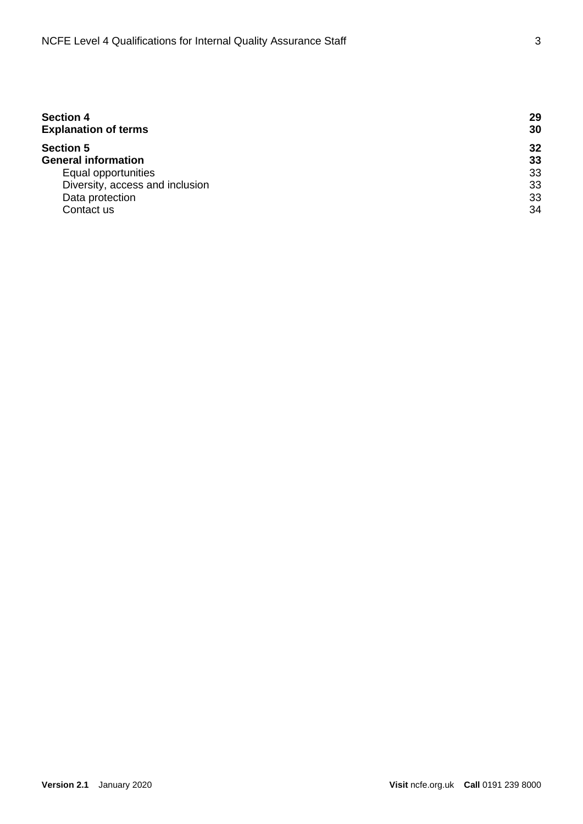| <b>Section 4</b><br><b>Explanation of terms</b> |    |
|-------------------------------------------------|----|
| <b>Section 5</b>                                | 32 |
| <b>General information</b>                      | 33 |
| Equal opportunities                             | 33 |
| Diversity, access and inclusion                 | 33 |
| Data protection                                 | 33 |
| Contact us                                      | 34 |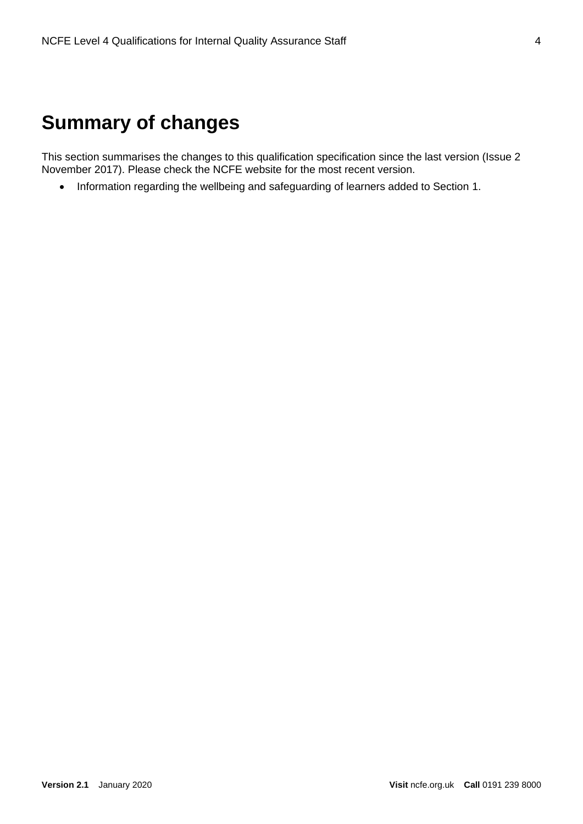#### **Summary of changes**

This section summarises the changes to this qualification specification since the last version (Issue 2 November 2017). Please check the NCFE website for the most recent version.

• Information regarding the wellbeing and safeguarding of learners added to Section 1.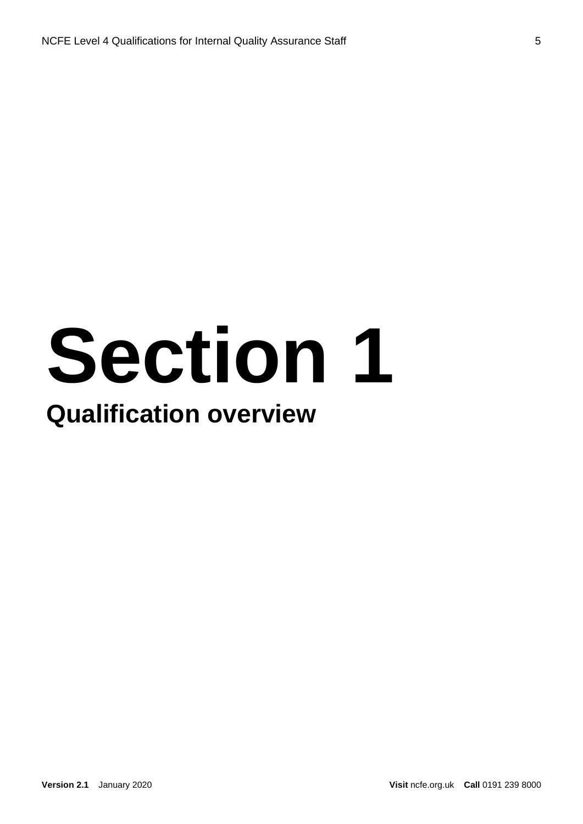### **Section 1 Qualification overview**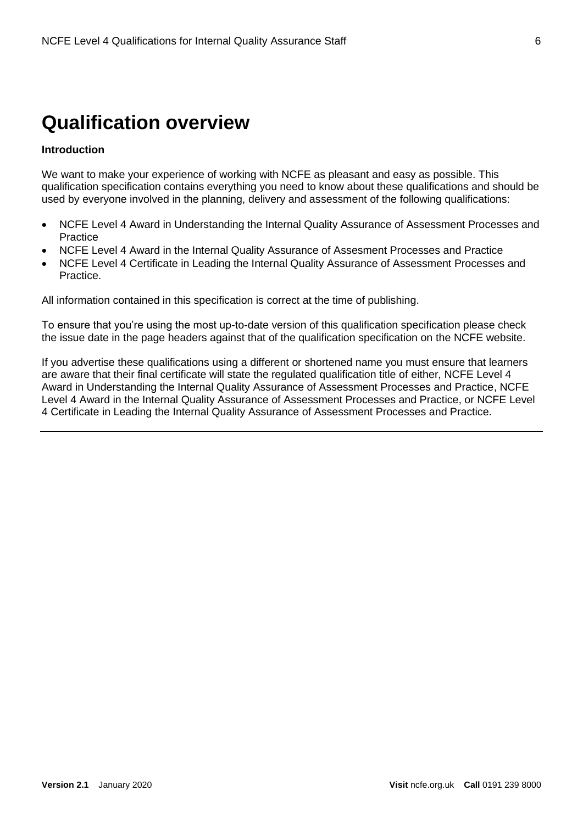#### **Qualification overview**

#### **Introduction**

We want to make your experience of working with NCFE as pleasant and easy as possible. This qualification specification contains everything you need to know about these qualifications and should be used by everyone involved in the planning, delivery and assessment of the following qualifications:

- NCFE Level 4 Award in Understanding the Internal Quality Assurance of Assessment Processes and **Practice**
- NCFE Level 4 Award in the Internal Quality Assurance of Assesment Processes and Practice
- NCFE Level 4 Certificate in Leading the Internal Quality Assurance of Assessment Processes and Practice.

All information contained in this specification is correct at the time of publishing.

To ensure that you're using the most up-to-date version of this qualification specification please check the issue date in the page headers against that of the qualification specification on the NCFE website.

If you advertise these qualifications using a different or shortened name you must ensure that learners are aware that their final certificate will state the regulated qualification title of either, NCFE Level 4 Award in Understanding the Internal Quality Assurance of Assessment Processes and Practice, NCFE Level 4 Award in the Internal Quality Assurance of Assessment Processes and Practice, or NCFE Level 4 Certificate in Leading the Internal Quality Assurance of Assessment Processes and Practice.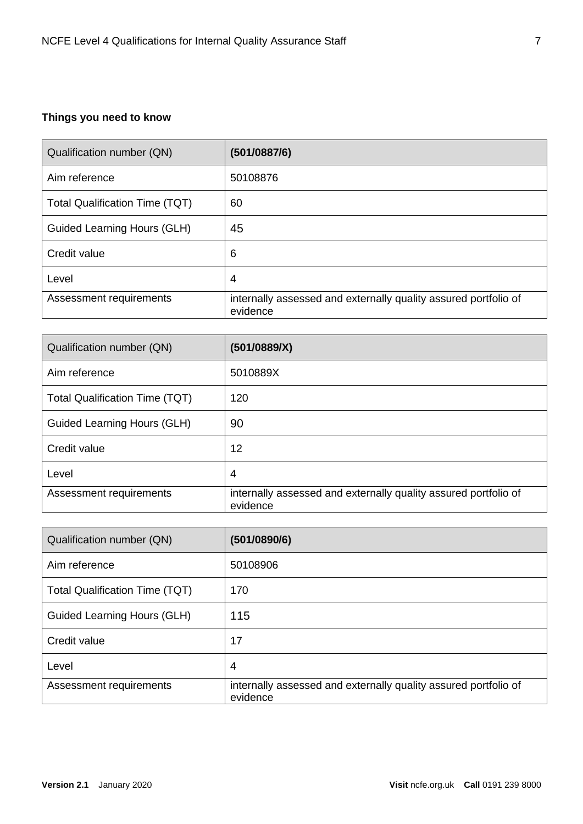#### **Things you need to know**

| Qualification number (QN)             | (501/0887/6)                                                                |
|---------------------------------------|-----------------------------------------------------------------------------|
| Aim reference                         | 50108876                                                                    |
| <b>Total Qualification Time (TQT)</b> | 60                                                                          |
| Guided Learning Hours (GLH)           | 45                                                                          |
| Credit value                          | 6                                                                           |
| Level                                 | 4                                                                           |
| Assessment requirements               | internally assessed and externally quality assured portfolio of<br>evidence |

| Qualification number (QN)             | (501/0889/X)                                                                |
|---------------------------------------|-----------------------------------------------------------------------------|
| Aim reference                         | 5010889X                                                                    |
| <b>Total Qualification Time (TQT)</b> | 120                                                                         |
| Guided Learning Hours (GLH)           | 90                                                                          |
| Credit value                          | 12                                                                          |
| Level                                 | 4                                                                           |
| Assessment requirements               | internally assessed and externally quality assured portfolio of<br>evidence |

| Qualification number (QN)             | (501/0890/6)                                                                |
|---------------------------------------|-----------------------------------------------------------------------------|
| Aim reference                         | 50108906                                                                    |
| <b>Total Qualification Time (TQT)</b> | 170                                                                         |
| <b>Guided Learning Hours (GLH)</b>    | 115                                                                         |
| Credit value                          | 17                                                                          |
| Level                                 | $\overline{4}$                                                              |
| Assessment requirements               | internally assessed and externally quality assured portfolio of<br>evidence |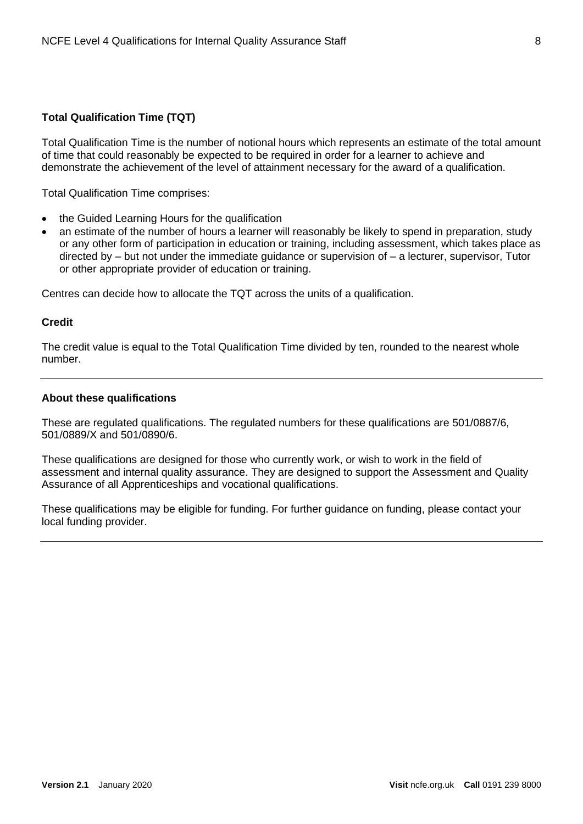#### **Total Qualification Time (TQT)**

Total Qualification Time is the number of notional hours which represents an estimate of the total amount of time that could reasonably be expected to be required in order for a learner to achieve and demonstrate the achievement of the level of attainment necessary for the award of a qualification.

Total Qualification Time comprises:

- the Guided Learning Hours for the qualification
- an estimate of the number of hours a learner will reasonably be likely to spend in preparation, study or any other form of participation in education or training, including assessment, which takes place as directed by – but not under the immediate guidance or supervision of – a lecturer, supervisor, Tutor or other appropriate provider of education or training.

Centres can decide how to allocate the TQT across the units of a qualification.

#### **Credit**

The credit value is equal to the Total Qualification Time divided by ten, rounded to the nearest whole number.

#### **About these qualifications**

These are regulated qualifications. The regulated numbers for these qualifications are 501/0887/6, 501/0889/X and 501/0890/6.

These qualifications are designed for those who currently work, or wish to work in the field of assessment and internal quality assurance. They are designed to support the Assessment and Quality Assurance of all Apprenticeships and vocational qualifications.

These qualifications may be eligible for funding. For further guidance on funding, please contact your local funding provider.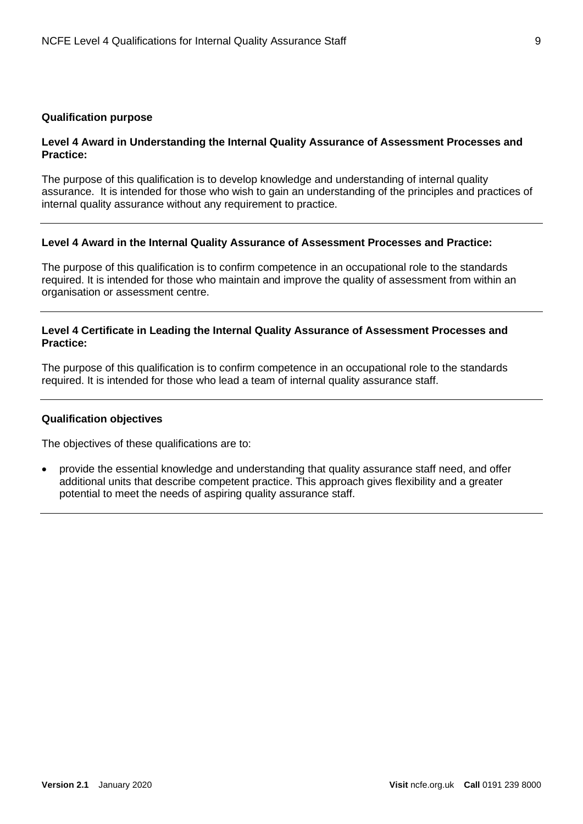#### **Qualification purpose**

#### **Level 4 Award in Understanding the Internal Quality Assurance of Assessment Processes and Practice:**

The purpose of this qualification is to develop knowledge and understanding of internal quality assurance. It is intended for those who wish to gain an understanding of the principles and practices of internal quality assurance without any requirement to practice.

#### **Level 4 Award in the Internal Quality Assurance of Assessment Processes and Practice:**

The purpose of this qualification is to confirm competence in an occupational role to the standards required. It is intended for those who maintain and improve the quality of assessment from within an organisation or assessment centre.

#### **Level 4 Certificate in Leading the Internal Quality Assurance of Assessment Processes and Practice:**

The purpose of this qualification is to confirm competence in an occupational role to the standards required. It is intended for those who lead a team of internal quality assurance staff.

#### **Qualification objectives**

The objectives of these qualifications are to:

• provide the essential knowledge and understanding that quality assurance staff need, and offer additional units that describe competent practice. This approach gives flexibility and a greater potential to meet the needs of aspiring quality assurance staff.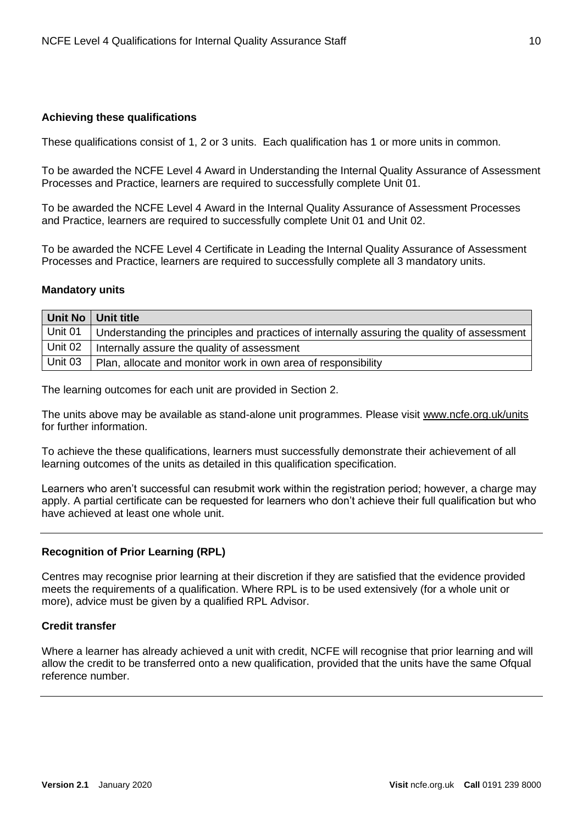#### **Achieving these qualifications**

These qualifications consist of 1, 2 or 3 units. Each qualification has 1 or more units in common.

To be awarded the NCFE Level 4 Award in Understanding the Internal Quality Assurance of Assessment Processes and Practice, learners are required to successfully complete Unit 01.

To be awarded the NCFE Level 4 Award in the Internal Quality Assurance of Assessment Processes and Practice, learners are required to successfully complete Unit 01 and Unit 02.

To be awarded the NCFE Level 4 Certificate in Leading the Internal Quality Assurance of Assessment Processes and Practice, learners are required to successfully complete all 3 mandatory units.

#### **Mandatory units**

|         | Unit No   Unit title                                                                                       |
|---------|------------------------------------------------------------------------------------------------------------|
|         | Unit 01 $\mid$ Understanding the principles and practices of internally assuring the quality of assessment |
|         | Unit 02   Internally assure the quality of assessment                                                      |
| Unit 03 | Plan, allocate and monitor work in own area of responsibility                                              |

The learning outcomes for each unit are provided in Section 2.

The units above may be available as stand-alone unit programmes. Please visit [www.ncfe.org.uk/units](http://www.ncfe.org.uk/units) for further information.

To achieve the these qualifications, learners must successfully demonstrate their achievement of all learning outcomes of the units as detailed in this qualification specification.

Learners who aren't successful can resubmit work within the registration period; however, a charge may apply. A partial certificate can be requested for learners who don't achieve their full qualification but who have achieved at least one whole unit.

#### **Recognition of Prior Learning (RPL)**

Centres may recognise prior learning at their discretion if they are satisfied that the evidence provided meets the requirements of a qualification. Where RPL is to be used extensively (for a whole unit or more), advice must be given by a qualified RPL Advisor.

#### **Credit transfer**

Where a learner has already achieved a unit with credit. NCFE will recognise that prior learning and will allow the credit to be transferred onto a new qualification, provided that the units have the same Ofqual reference number.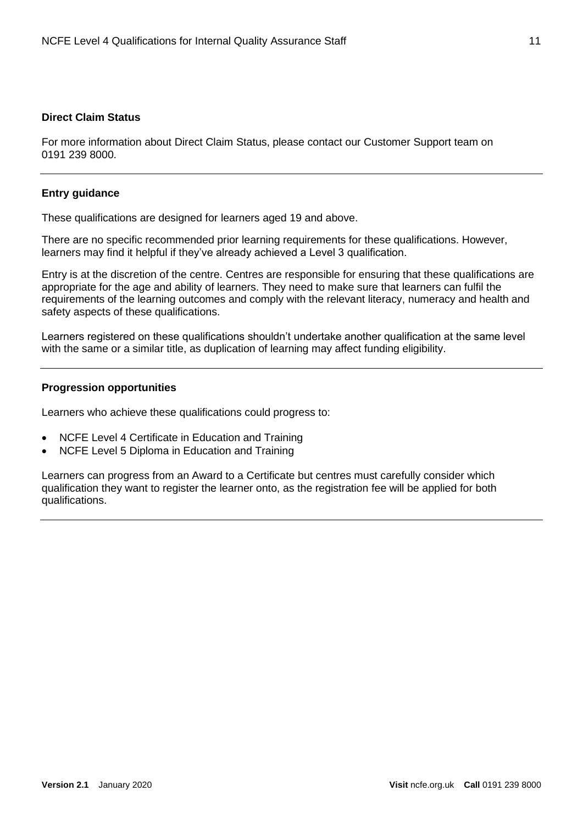#### **Direct Claim Status**

For more information about Direct Claim Status, please contact our Customer Support team on 0191 239 8000.

#### **Entry guidance**

These qualifications are designed for learners aged 19 and above.

There are no specific recommended prior learning requirements for these qualifications. However, learners may find it helpful if they've already achieved a Level 3 qualification.

Entry is at the discretion of the centre. Centres are responsible for ensuring that these qualifications are appropriate for the age and ability of learners. They need to make sure that learners can fulfil the requirements of the learning outcomes and comply with the relevant literacy, numeracy and health and safety aspects of these qualifications.

Learners registered on these qualifications shouldn't undertake another qualification at the same level with the same or a similar title, as duplication of learning may affect funding eligibility.

#### **Progression opportunities**

Learners who achieve these qualifications could progress to:

- NCFE Level 4 Certificate in Education and Training
- NCFE Level 5 Diploma in Education and Training

Learners can progress from an Award to a Certificate but centres must carefully consider which qualification they want to register the learner onto, as the registration fee will be applied for both qualifications.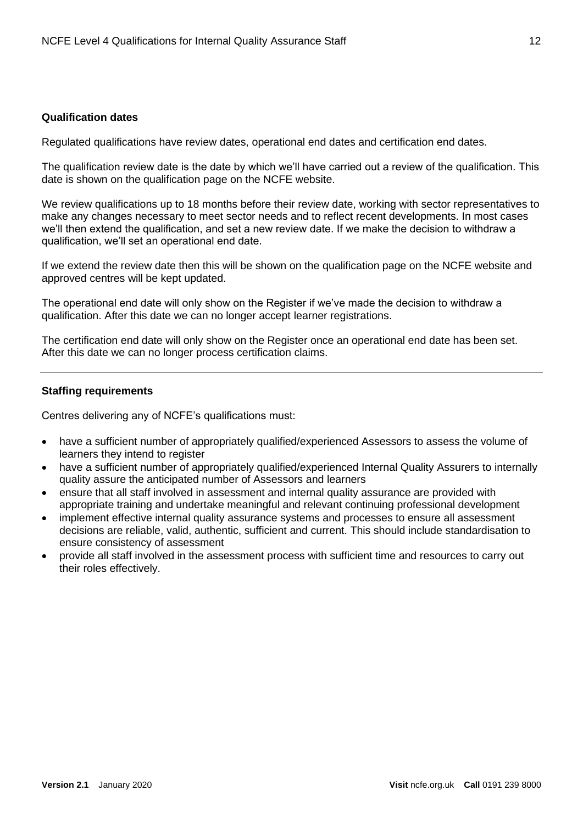#### **Qualification dates**

Regulated qualifications have review dates, operational end dates and certification end dates.

The qualification review date is the date by which we'll have carried out a review of the qualification. This date is shown on the qualification page on the NCFE website.

We review qualifications up to 18 months before their review date, working with sector representatives to make any changes necessary to meet sector needs and to reflect recent developments. In most cases we'll then extend the qualification, and set a new review date. If we make the decision to withdraw a qualification, we'll set an operational end date.

If we extend the review date then this will be shown on the qualification page on the NCFE website and approved centres will be kept updated.

The operational end date will only show on the Register if we've made the decision to withdraw a qualification. After this date we can no longer accept learner registrations.

The certification end date will only show on the Register once an operational end date has been set. After this date we can no longer process certification claims.

#### **Staffing requirements**

Centres delivering any of NCFE's qualifications must:

- have a sufficient number of appropriately qualified/experienced Assessors to assess the volume of learners they intend to register
- have a sufficient number of appropriately qualified/experienced Internal Quality Assurers to internally quality assure the anticipated number of Assessors and learners
- ensure that all staff involved in assessment and internal quality assurance are provided with appropriate training and undertake meaningful and relevant continuing professional development
- implement effective internal quality assurance systems and processes to ensure all assessment decisions are reliable, valid, authentic, sufficient and current. This should include standardisation to ensure consistency of assessment
- provide all staff involved in the assessment process with sufficient time and resources to carry out their roles effectively.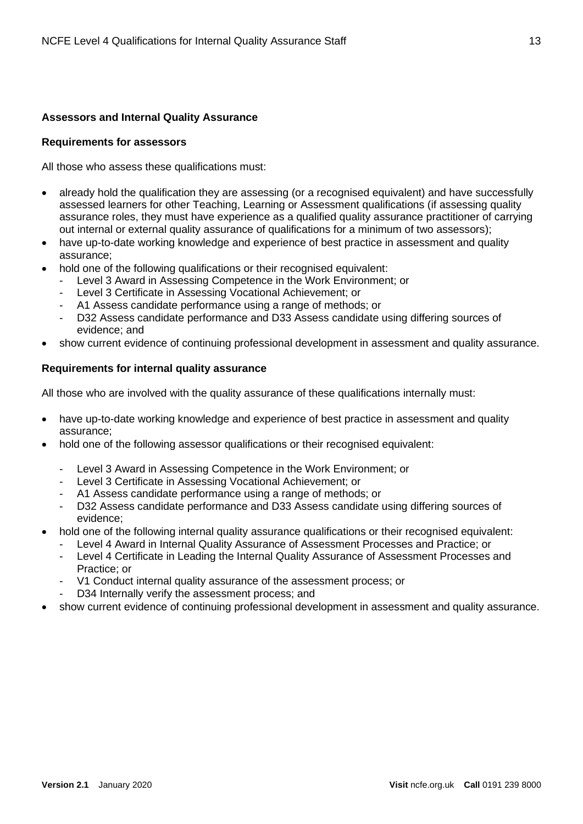#### **Assessors and Internal Quality Assurance**

#### **Requirements for assessors**

All those who assess these qualifications must:

- already hold the qualification they are assessing (or a recognised equivalent) and have successfully assessed learners for other Teaching, Learning or Assessment qualifications (if assessing quality assurance roles, they must have experience as a qualified quality assurance practitioner of carrying out internal or external quality assurance of qualifications for a minimum of two assessors);
- have up-to-date working knowledge and experience of best practice in assessment and quality assurance;
- hold one of the following qualifications or their recognised equivalent:
	- Level 3 Award in Assessing Competence in the Work Environment; or
	- Level 3 Certificate in Assessing Vocational Achievement; or
	- A1 Assess candidate performance using a range of methods; or
	- D32 Assess candidate performance and D33 Assess candidate using differing sources of evidence; and
- show current evidence of continuing professional development in assessment and quality assurance.

#### **Requirements for internal quality assurance**

All those who are involved with the quality assurance of these qualifications internally must:

- have up-to-date working knowledge and experience of best practice in assessment and quality assurance;
- hold one of the following assessor qualifications or their recognised equivalent:
	- Level 3 Award in Assessing Competence in the Work Environment; or
	- Level 3 Certificate in Assessing Vocational Achievement; or
	- A1 Assess candidate performance using a range of methods; or
	- D32 Assess candidate performance and D33 Assess candidate using differing sources of evidence;
- hold one of the following internal quality assurance qualifications or their recognised equivalent:
	- Level 4 Award in Internal Quality Assurance of Assessment Processes and Practice; or
	- Level 4 Certificate in Leading the Internal Quality Assurance of Assessment Processes and Practice; or
	- V1 Conduct internal quality assurance of the assessment process; or
	- D34 Internally verify the assessment process; and
- show current evidence of continuing professional development in assessment and quality assurance.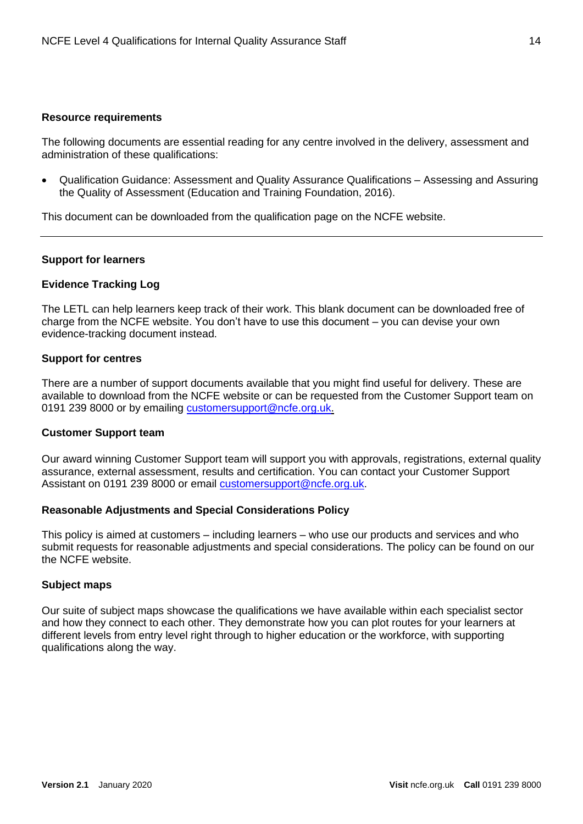#### **Resource requirements**

The following documents are essential reading for any centre involved in the delivery, assessment and administration of these qualifications:

• Qualification Guidance: Assessment and Quality Assurance Qualifications – Assessing and Assuring the Quality of Assessment (Education and Training Foundation, 2016).

This document can be downloaded from the qualification page on the NCFE website.

#### **Support for learners**

#### **Evidence Tracking Log**

The LETL can help learners keep track of their work. This blank document can be downloaded free of charge from the NCFE website. You don't have to use this document – you can devise your own evidence-tracking document instead.

#### **Support for centres**

There are a number of support documents available that you might find useful for delivery. These are available to download from the NCFE website or can be requested from the Customer Support team on 0191 239 8000 or by emailing [customersupport@ncfe.org.uk.](mailto:customersupport@ncfe.org.uk)

#### **Customer Support team**

Our award winning Customer Support team will support you with approvals, registrations, external quality assurance, external assessment, results and certification. You can contact your Customer Support Assistant on 0191 239 8000 or email [customersupport@ncfe.org.uk.](mailto:customersupport@ncfe.org.uk)

#### **[Reasonable Adjustments and Special Considerations Policy](http://www.ncfe.org.uk/download/web/documents/Reasonable-Adjustments-Policy.pdf)**

This policy is aimed at customers – including learners – who use our products and services and who submit requests for reasonable adjustments and special considerations. The policy can be found on our the NCFE website.

#### **Subject maps**

Our suite of subject maps showcase the qualifications we have available within each specialist sector and how they connect to each other. They demonstrate how you can plot routes for your learners at different levels from entry level right through to higher education or the workforce, with supporting qualifications along the way.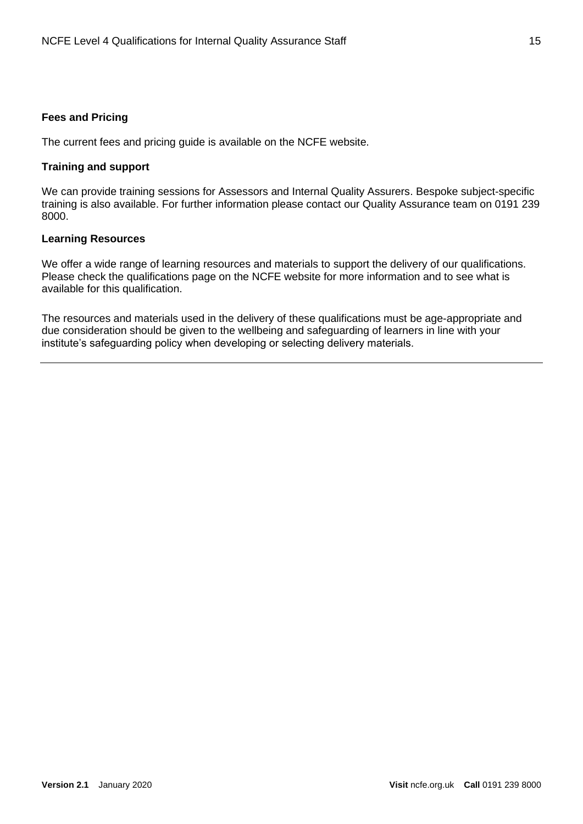#### **Fees and Pricing**

The current fees and pricing guide is available on the NCFE website.

#### **Training and support**

We can provide training sessions for Assessors and Internal Quality Assurers. Bespoke subject-specific training is also available. For further information please contact our Quality Assurance team on 0191 239 8000.

#### **Learning Resources**

We offer a wide range of learning resources and materials to support the delivery of our qualifications. Please check the qualifications page on the NCFE website for more information and to see what is available for this qualification.

The resources and materials used in the delivery of these qualifications must be age-appropriate and due consideration should be given to the wellbeing and safeguarding of learners in line with your institute's safeguarding policy when developing or selecting delivery materials.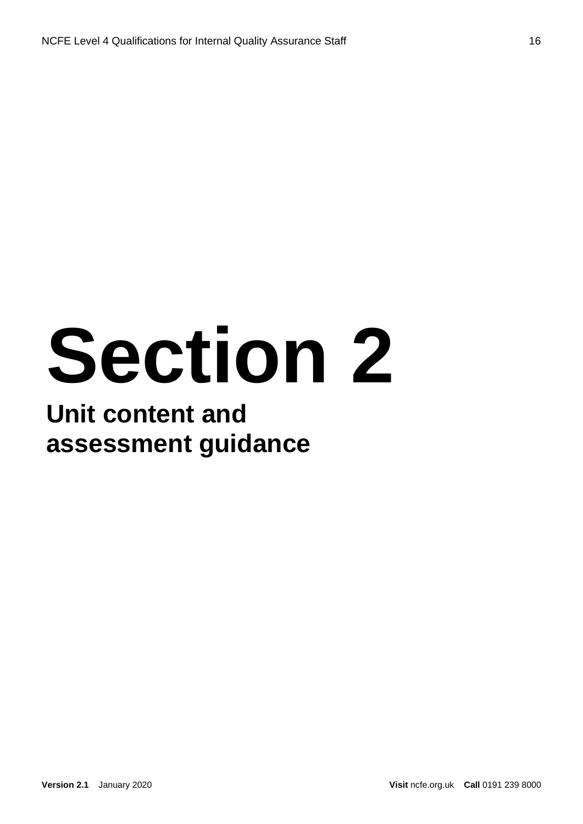# **Section 2**

#### **Unit content and assessment guidance**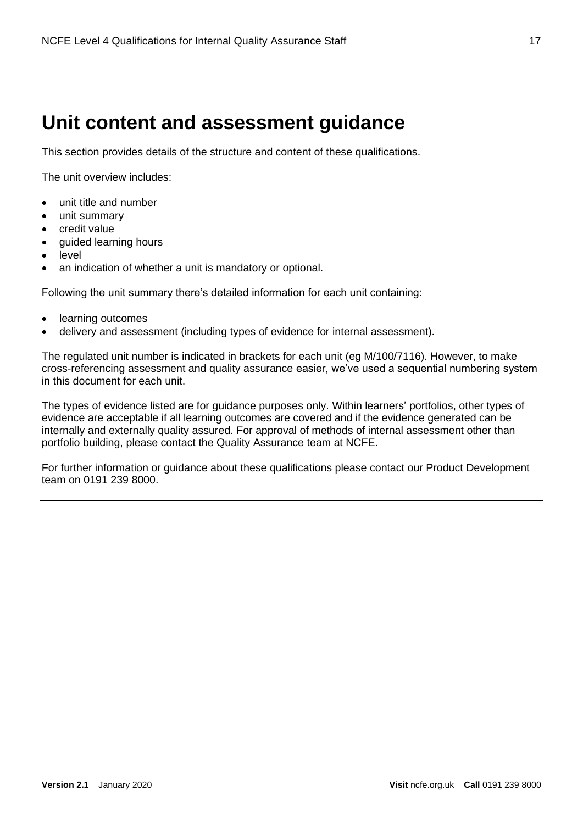#### **Unit content and assessment guidance**

This section provides details of the structure and content of these qualifications.

The unit overview includes:

- unit title and number
- unit summary
- credit value
- guided learning hours
- level
- an indication of whether a unit is mandatory or optional.

Following the unit summary there's detailed information for each unit containing:

- learning outcomes
- delivery and assessment (including types of evidence for internal assessment).

The regulated unit number is indicated in brackets for each unit (eg M/100/7116). However, to make cross-referencing assessment and quality assurance easier, we've used a sequential numbering system in this document for each unit.

The types of evidence listed are for guidance purposes only. Within learners' portfolios, other types of evidence are acceptable if all learning outcomes are covered and if the evidence generated can be internally and externally quality assured. For approval of methods of internal assessment other than portfolio building, please contact the Quality Assurance team at NCFE.

For further information or guidance about these qualifications please contact our Product Development team on 0191 239 8000.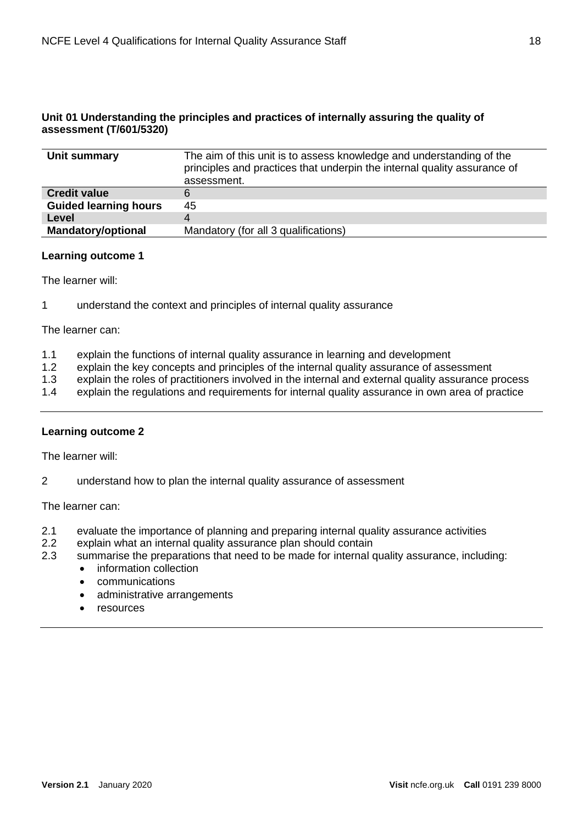#### **Unit 01 Understanding the principles and practices of internally assuring the quality of assessment (T/601/5320)**

| Unit summary                 | The aim of this unit is to assess knowledge and understanding of the<br>principles and practices that underpin the internal quality assurance of<br>assessment. |
|------------------------------|-----------------------------------------------------------------------------------------------------------------------------------------------------------------|
| <b>Credit value</b>          |                                                                                                                                                                 |
| <b>Guided learning hours</b> | 45                                                                                                                                                              |
| Level                        | 4                                                                                                                                                               |
| <b>Mandatory/optional</b>    | Mandatory (for all 3 qualifications)                                                                                                                            |

#### **Learning outcome 1**

The learner will:

1 understand the context and principles of internal quality assurance

The learner can:

- 1.1 explain the functions of internal quality assurance in learning and development
- 1.2 explain the key concepts and principles of the internal quality assurance of assessment
- 1.3 explain the roles of practitioners involved in the internal and external quality assurance process
- 1.4 explain the regulations and requirements for internal quality assurance in own area of practice

#### **Learning outcome 2**

The learner will:

2 understand how to plan the internal quality assurance of assessment

The learner can:

- 2.1 evaluate the importance of planning and preparing internal quality assurance activities<br>2.2 explain what an internal quality assurance plan should contain
- explain what an internal quality assurance plan should contain
- 2.3 summarise the preparations that need to be made for internal quality assurance, including:
	- information collection
	- communications
	- administrative arrangements
	- resources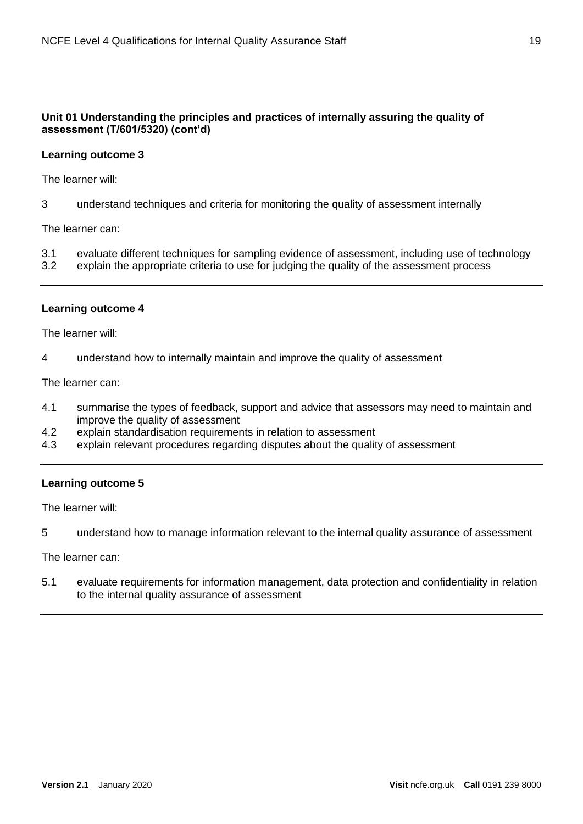#### **Unit 01 Understanding the principles and practices of internally assuring the quality of assessment (T/601/5320) (cont'd)**

#### **Learning outcome 3**

The learner will:

3 understand techniques and criteria for monitoring the quality of assessment internally

The learner can:

- 3.1 evaluate different techniques for sampling evidence of assessment, including use of technology
- 3.2 explain the appropriate criteria to use for judging the quality of the assessment process

#### **Learning outcome 4**

The learner will:

4 understand how to internally maintain and improve the quality of assessment

The learner can:

- 4.1 summarise the types of feedback, support and advice that assessors may need to maintain and improve the quality of assessment
- 4.2 explain standardisation requirements in relation to assessment
- 4.3 explain relevant procedures regarding disputes about the quality of assessment

#### **Learning outcome 5**

The learner will:

5 understand how to manage information relevant to the internal quality assurance of assessment

The learner can:

5.1 evaluate requirements for information management, data protection and confidentiality in relation to the internal quality assurance of assessment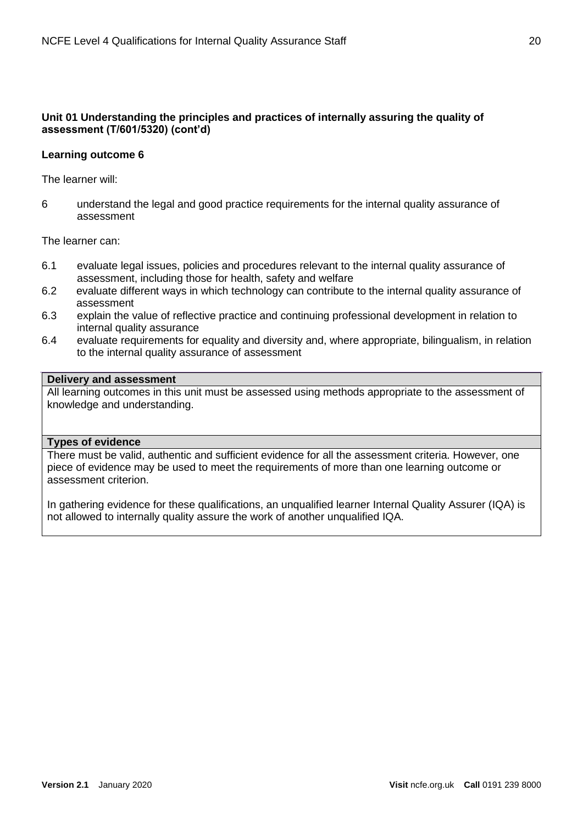#### **Unit 01 Understanding the principles and practices of internally assuring the quality of assessment (T/601/5320) (cont'd)**

#### **Learning outcome 6**

The learner will:

6 understand the legal and good practice requirements for the internal quality assurance of assessment

The learner can:

- 6.1 evaluate legal issues, policies and procedures relevant to the internal quality assurance of assessment, including those for health, safety and welfare
- 6.2 evaluate different ways in which technology can contribute to the internal quality assurance of assessment
- 6.3 explain the value of reflective practice and continuing professional development in relation to internal quality assurance
- 6.4 evaluate requirements for equality and diversity and, where appropriate, bilingualism, in relation to the internal quality assurance of assessment

#### **Delivery and assessment**

All learning outcomes in this unit must be assessed using methods appropriate to the assessment of knowledge and understanding.

#### **Types of evidence**

There must be valid, authentic and sufficient evidence for all the assessment criteria. However, one piece of evidence may be used to meet the requirements of more than one learning outcome or assessment criterion.

In gathering evidence for these qualifications, an unqualified learner Internal Quality Assurer (IQA) is not allowed to internally quality assure the work of another unqualified IQA.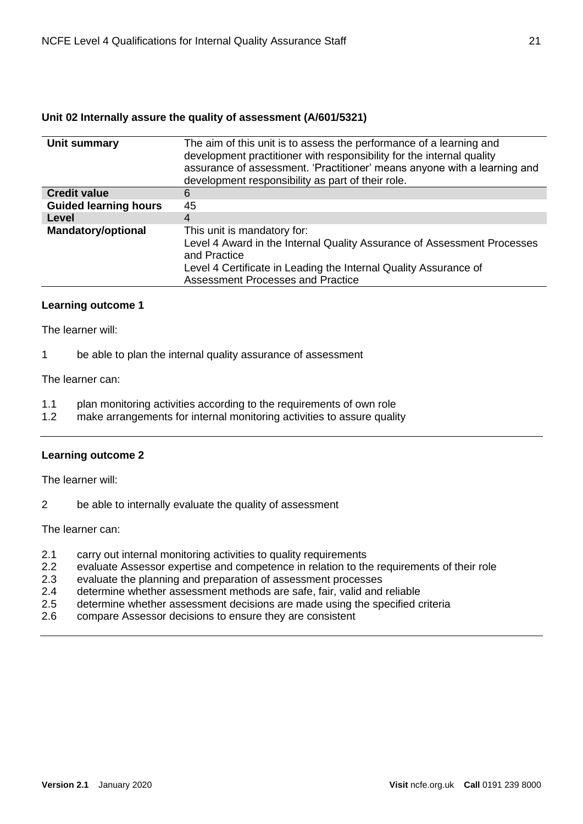#### **Unit 02 Internally assure the quality of assessment (A/601/5321)**

| Unit summary                 | The aim of this unit is to assess the performance of a learning and<br>development practitioner with responsibility for the internal quality<br>assurance of assessment. 'Practitioner' means anyone with a learning and<br>development responsibility as part of their role. |
|------------------------------|-------------------------------------------------------------------------------------------------------------------------------------------------------------------------------------------------------------------------------------------------------------------------------|
| <b>Credit value</b>          | 6                                                                                                                                                                                                                                                                             |
| <b>Guided learning hours</b> | 45                                                                                                                                                                                                                                                                            |
| Level                        | 4                                                                                                                                                                                                                                                                             |
| <b>Mandatory/optional</b>    | This unit is mandatory for:<br>Level 4 Award in the Internal Quality Assurance of Assessment Processes<br>and Practice<br>Level 4 Certificate in Leading the Internal Quality Assurance of<br>Assessment Processes and Practice                                               |

#### **Learning outcome 1**

The learner will:

1 be able to plan the internal quality assurance of assessment

The learner can:

- 1.1 plan monitoring activities according to the requirements of own role
- 1.2 make arrangements for internal monitoring activities to assure quality

#### **Learning outcome 2**

The learner will:

2 be able to internally evaluate the quality of assessment

The learner can:

- 2.1 carry out internal monitoring activities to quality requirements
- 2.2 evaluate Assessor expertise and competence in relation to the requirements of their role
- 2.3 evaluate the planning and preparation of assessment processes
- 2.4 determine whether assessment methods are safe, fair, valid and reliable
- 2.5 determine whether assessment decisions are made using the specified criteria
- 2.6 compare Assessor decisions to ensure they are consistent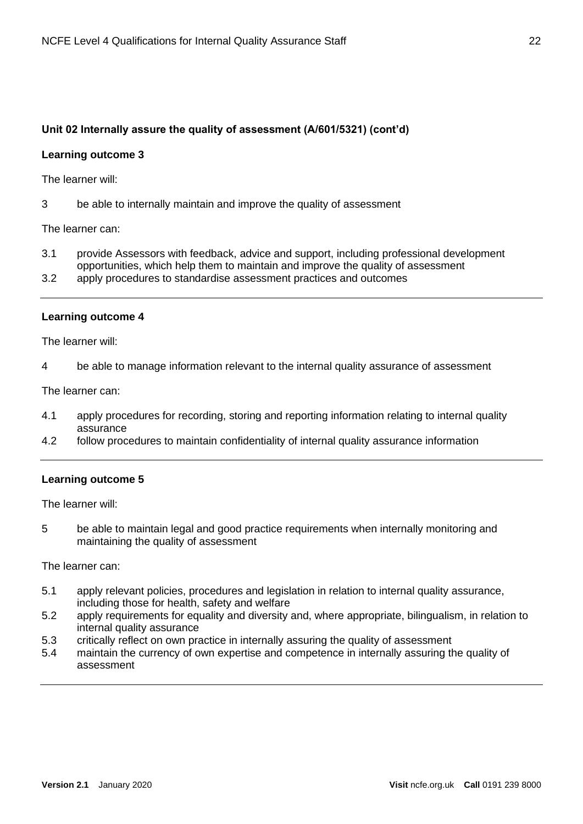#### **Unit 02 Internally assure the quality of assessment (A/601/5321) (cont'd)**

#### **Learning outcome 3**

The learner will:

3 be able to internally maintain and improve the quality of assessment

The learner can:

- 3.1 provide Assessors with feedback, advice and support, including professional development opportunities, which help them to maintain and improve the quality of assessment
- 3.2 apply procedures to standardise assessment practices and outcomes

#### **Learning outcome 4**

The learner will:

4 be able to manage information relevant to the internal quality assurance of assessment

The learner can:

- 4.1 apply procedures for recording, storing and reporting information relating to internal quality assurance
- 4.2 follow procedures to maintain confidentiality of internal quality assurance information

#### **Learning outcome 5**

The learner will:

5 be able to maintain legal and good practice requirements when internally monitoring and maintaining the quality of assessment

The learner can:

- 5.1 apply relevant policies, procedures and legislation in relation to internal quality assurance, including those for health, safety and welfare
- 5.2 apply requirements for equality and diversity and, where appropriate, bilingualism, in relation to internal quality assurance
- 5.3 critically reflect on own practice in internally assuring the quality of assessment
- 5.4 maintain the currency of own expertise and competence in internally assuring the quality of assessment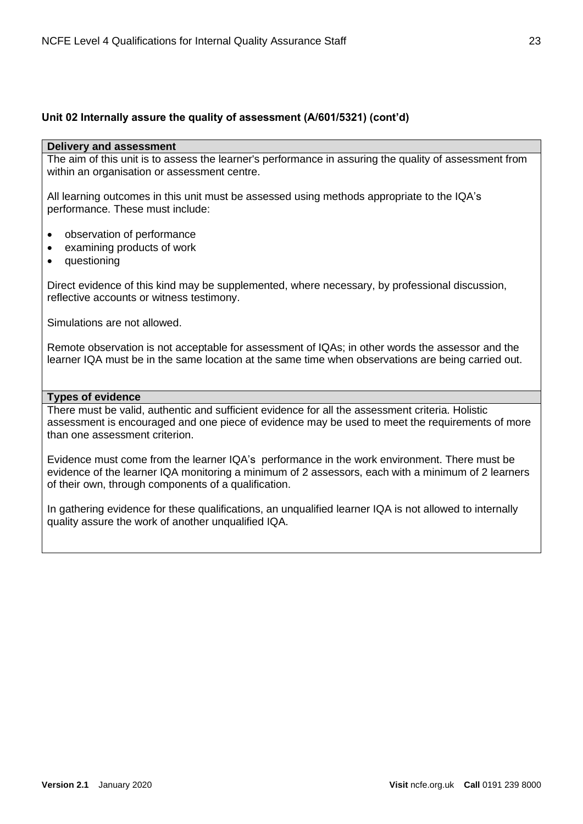#### **Unit 02 Internally assure the quality of assessment (A/601/5321) (cont'd)**

#### **Delivery and assessment**

The aim of this unit is to assess the learner's performance in assuring the quality of assessment from within an organisation or assessment centre.

All learning outcomes in this unit must be assessed using methods appropriate to the IQA's performance. These must include:

- observation of performance
- examining products of work
- questioning

Direct evidence of this kind may be supplemented, where necessary, by professional discussion, reflective accounts or witness testimony.

Simulations are not allowed.

Remote observation is not acceptable for assessment of IQAs; in other words the assessor and the learner IQA must be in the same location at the same time when observations are being carried out.

#### **Types of evidence**

There must be valid, authentic and sufficient evidence for all the assessment criteria. Holistic assessment is encouraged and one piece of evidence may be used to meet the requirements of more than one assessment criterion.

Evidence must come from the learner IQA's performance in the work environment. There must be evidence of the learner IQA monitoring a minimum of 2 assessors, each with a minimum of 2 learners of their own, through components of a qualification.

In gathering evidence for these qualifications, an unqualified learner IQA is not allowed to internally quality assure the work of another unqualified IQA.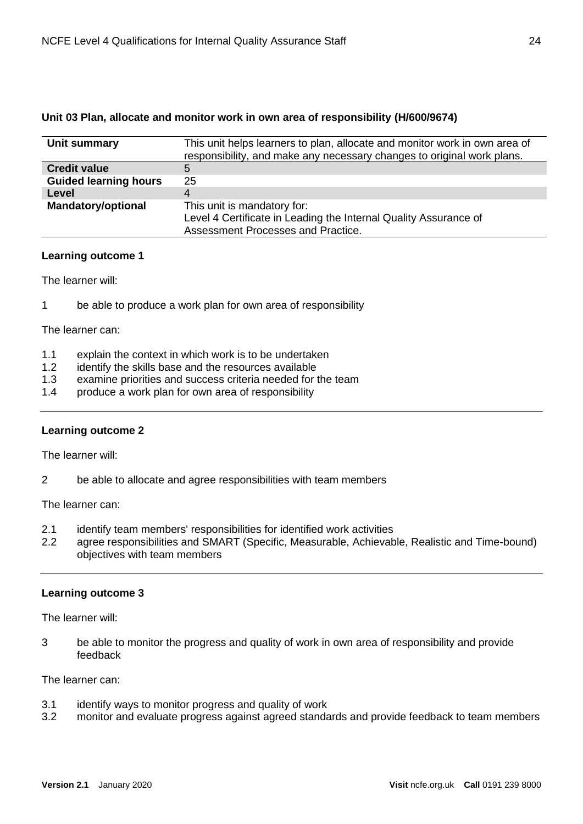| Unit 03 Plan, allocate and monitor work in own area of responsibility (H/600/9674) |  |
|------------------------------------------------------------------------------------|--|
|------------------------------------------------------------------------------------|--|

| Unit summary                 | This unit helps learners to plan, allocate and monitor work in own area of<br>responsibility, and make any necessary changes to original work plans. |
|------------------------------|------------------------------------------------------------------------------------------------------------------------------------------------------|
| <b>Credit value</b>          | 5                                                                                                                                                    |
| <b>Guided learning hours</b> | 25                                                                                                                                                   |
| Level                        |                                                                                                                                                      |
| <b>Mandatory/optional</b>    | This unit is mandatory for:                                                                                                                          |
|                              | Level 4 Certificate in Leading the Internal Quality Assurance of                                                                                     |
|                              | Assessment Processes and Practice.                                                                                                                   |

#### **Learning outcome 1**

The learner will:

1 be able to produce a work plan for own area of responsibility

The learner can:

- 1.1 explain the context in which work is to be undertaken
- 1.2 identify the skills base and the resources available
- 1.3 examine priorities and success criteria needed for the team
- 1.4 produce a work plan for own area of responsibility

#### **Learning outcome 2**

The learner will:

2 be able to allocate and agree responsibilities with team members

The learner can:

- 2.1 identify team members' responsibilities for identified work activities
- 2.2 agree responsibilities and SMART (Specific, Measurable, Achievable, Realistic and Time-bound) objectives with team members

#### **Learning outcome 3**

The learner will:

3 be able to monitor the progress and quality of work in own area of responsibility and provide feedback

The learner can:

- 3.1 identify ways to monitor progress and quality of work
- 3.2 monitor and evaluate progress against agreed standards and provide feedback to team members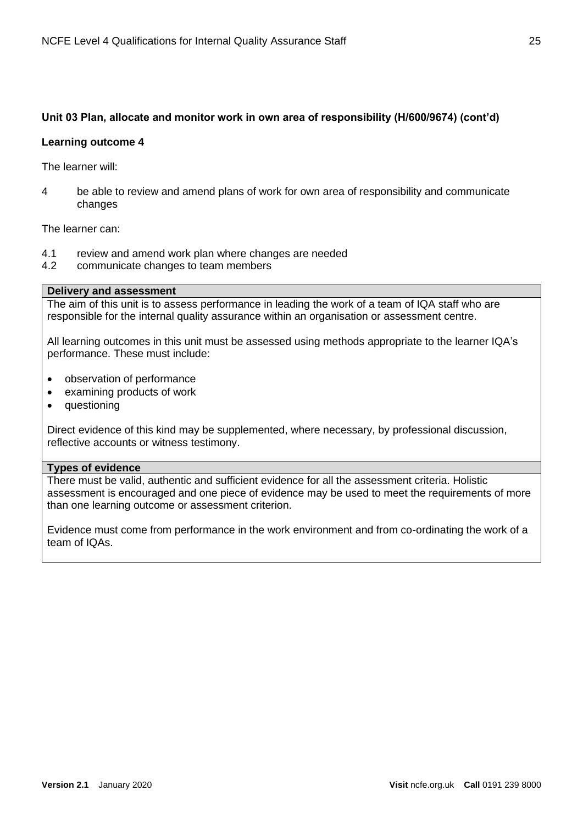#### **Unit 03 Plan, allocate and monitor work in own area of responsibility (H/600/9674) (cont'd)**

#### **Learning outcome 4**

The learner will:

4 be able to review and amend plans of work for own area of responsibility and communicate changes

The learner can:

- 4.1 review and amend work plan where changes are needed
- 4.2 communicate changes to team members

#### **Delivery and assessment**

The aim of this unit is to assess performance in leading the work of a team of IQA staff who are responsible for the internal quality assurance within an organisation or assessment centre.

All learning outcomes in this unit must be assessed using methods appropriate to the learner IQA's performance. These must include:

- observation of performance
- examining products of work
- questioning

Direct evidence of this kind may be supplemented, where necessary, by professional discussion, reflective accounts or witness testimony.

#### **Types of evidence**

There must be valid, authentic and sufficient evidence for all the assessment criteria. Holistic assessment is encouraged and one piece of evidence may be used to meet the requirements of more than one learning outcome or assessment criterion.

Evidence must come from performance in the work environment and from co-ordinating the work of a team of IQAs.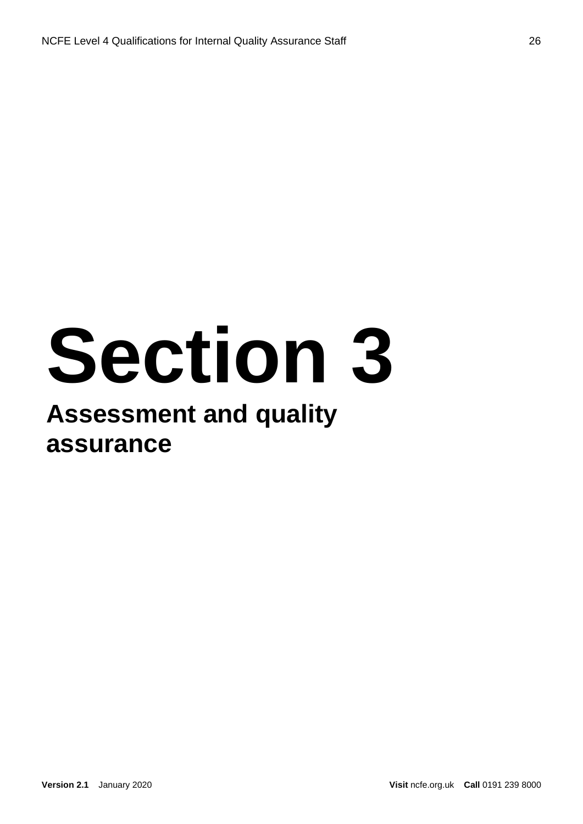# **Section 3**

#### **Assessment and quality assurance**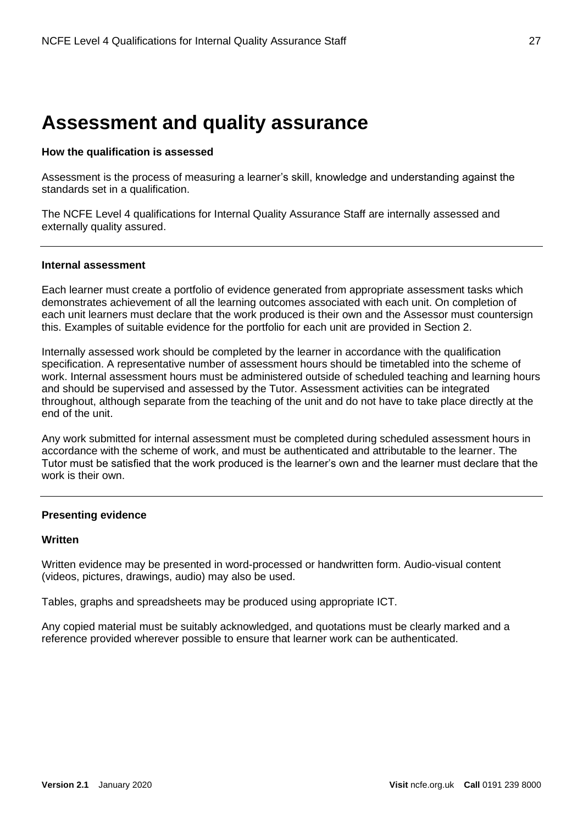#### **Assessment and quality assurance**

#### **How the qualification is assessed**

Assessment is the process of measuring a learner's skill, knowledge and understanding against the standards set in a qualification.

The NCFE Level 4 qualifications for Internal Quality Assurance Staff are internally assessed and externally quality assured.

#### **Internal assessment**

Each learner must create a portfolio of evidence generated from appropriate assessment tasks which demonstrates achievement of all the learning outcomes associated with each unit. On completion of each unit learners must declare that the work produced is their own and the Assessor must countersign this. Examples of suitable evidence for the portfolio for each unit are provided in Section 2.

Internally assessed work should be completed by the learner in accordance with the qualification specification. A representative number of assessment hours should be timetabled into the scheme of work. Internal assessment hours must be administered outside of scheduled teaching and learning hours and should be supervised and assessed by the Tutor. Assessment activities can be integrated throughout, although separate from the teaching of the unit and do not have to take place directly at the end of the unit.

Any work submitted for internal assessment must be completed during scheduled assessment hours in accordance with the scheme of work, and must be authenticated and attributable to the learner. The Tutor must be satisfied that the work produced is the learner's own and the learner must declare that the work is their own.

#### **Presenting evidence**

#### **Written**

Written evidence may be presented in word-processed or handwritten form. Audio-visual content (videos, pictures, drawings, audio) may also be used.

Tables, graphs and spreadsheets may be produced using appropriate ICT.

Any copied material must be suitably acknowledged, and quotations must be clearly marked and a reference provided wherever possible to ensure that learner work can be authenticated.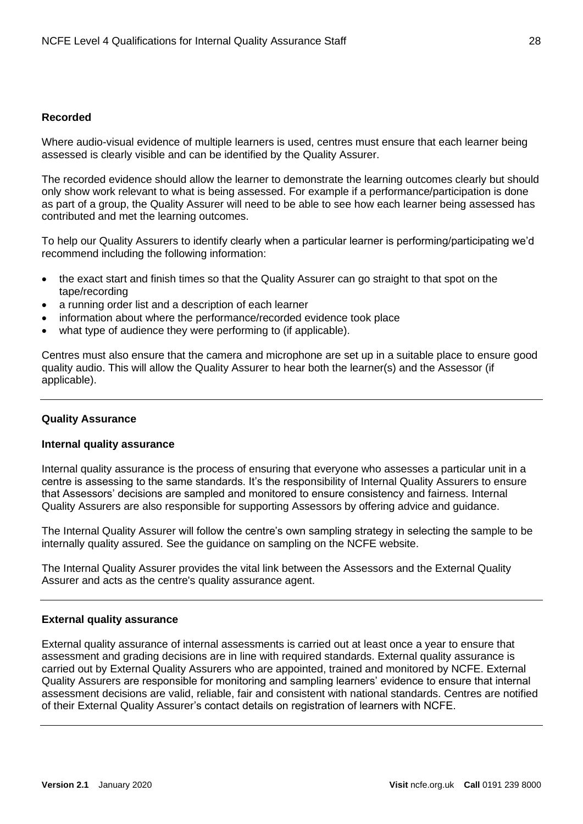#### **Recorded**

Where audio-visual evidence of multiple learners is used, centres must ensure that each learner being assessed is clearly visible and can be identified by the Quality Assurer.

The recorded evidence should allow the learner to demonstrate the learning outcomes clearly but should only show work relevant to what is being assessed. For example if a performance/participation is done as part of a group, the Quality Assurer will need to be able to see how each learner being assessed has contributed and met the learning outcomes.

To help our Quality Assurers to identify clearly when a particular learner is performing/participating we'd recommend including the following information:

- the exact start and finish times so that the Quality Assurer can go straight to that spot on the tape/recording
- a running order list and a description of each learner
- information about where the performance/recorded evidence took place
- what type of audience they were performing to (if applicable).

Centres must also ensure that the camera and microphone are set up in a suitable place to ensure good quality audio. This will allow the Quality Assurer to hear both the learner(s) and the Assessor (if applicable).

#### **Quality Assurance**

#### **Internal quality assurance**

Internal quality assurance is the process of ensuring that everyone who assesses a particular unit in a centre is assessing to the same standards. It's the responsibility of Internal Quality Assurers to ensure that Assessors' decisions are sampled and monitored to ensure consistency and fairness. Internal Quality Assurers are also responsible for supporting Assessors by offering advice and guidance.

The Internal Quality Assurer will follow the centre's own sampling strategy in selecting the sample to be internally quality assured. See the guidance on sampling on the NCFE website.

The Internal Quality Assurer provides the vital link between the Assessors and the External Quality Assurer and acts as the centre's quality assurance agent.

#### **External quality assurance**

External quality assurance of internal assessments is carried out at least once a year to ensure that assessment and grading decisions are in line with required standards. External quality assurance is carried out by External Quality Assurers who are appointed, trained and monitored by NCFE. External Quality Assurers are responsible for monitoring and sampling learners' evidence to ensure that internal assessment decisions are valid, reliable, fair and consistent with national standards. Centres are notified of their External Quality Assurer's contact details on registration of learners with NCFE.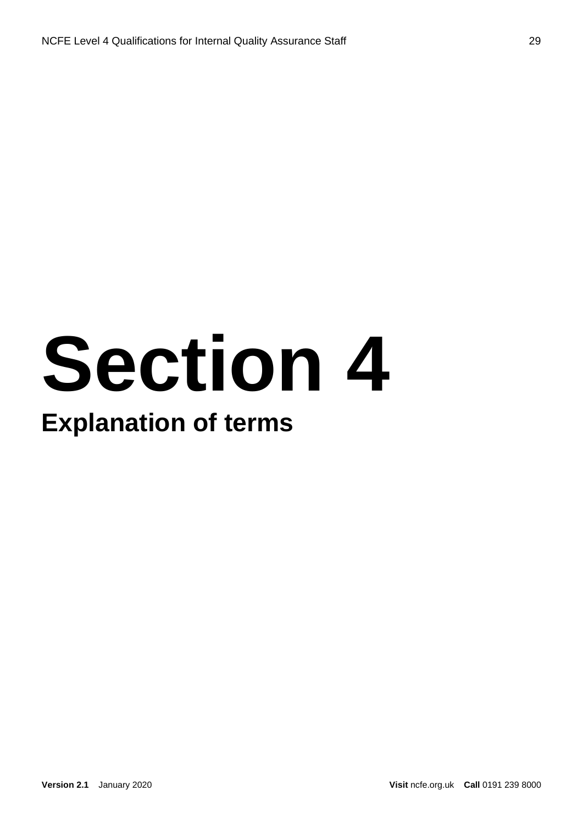# **Section 4**

#### **Explanation of terms**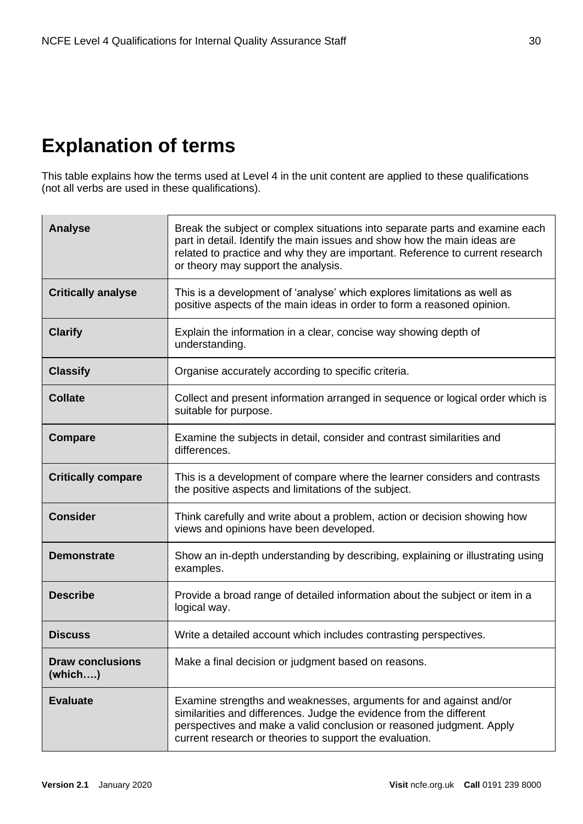#### **Explanation of terms**

This table explains how the terms used at Level 4 in the unit content are applied to these qualifications (not all verbs are used in these qualifications).

| <b>Analyse</b>                     | Break the subject or complex situations into separate parts and examine each<br>part in detail. Identify the main issues and show how the main ideas are<br>related to practice and why they are important. Reference to current research<br>or theory may support the analysis. |
|------------------------------------|----------------------------------------------------------------------------------------------------------------------------------------------------------------------------------------------------------------------------------------------------------------------------------|
| <b>Critically analyse</b>          | This is a development of 'analyse' which explores limitations as well as<br>positive aspects of the main ideas in order to form a reasoned opinion.                                                                                                                              |
| <b>Clarify</b>                     | Explain the information in a clear, concise way showing depth of<br>understanding.                                                                                                                                                                                               |
| <b>Classify</b>                    | Organise accurately according to specific criteria.                                                                                                                                                                                                                              |
| <b>Collate</b>                     | Collect and present information arranged in sequence or logical order which is<br>suitable for purpose.                                                                                                                                                                          |
| <b>Compare</b>                     | Examine the subjects in detail, consider and contrast similarities and<br>differences.                                                                                                                                                                                           |
| <b>Critically compare</b>          | This is a development of compare where the learner considers and contrasts<br>the positive aspects and limitations of the subject.                                                                                                                                               |
| <b>Consider</b>                    | Think carefully and write about a problem, action or decision showing how<br>views and opinions have been developed.                                                                                                                                                             |
| <b>Demonstrate</b>                 | Show an in-depth understanding by describing, explaining or illustrating using<br>examples.                                                                                                                                                                                      |
| <b>Describe</b>                    | Provide a broad range of detailed information about the subject or item in a<br>logical way.                                                                                                                                                                                     |
| <b>Discuss</b>                     | Write a detailed account which includes contrasting perspectives.                                                                                                                                                                                                                |
| <b>Draw conclusions</b><br>(which) | Make a final decision or judgment based on reasons.                                                                                                                                                                                                                              |
| <b>Evaluate</b>                    | Examine strengths and weaknesses, arguments for and against and/or<br>similarities and differences. Judge the evidence from the different<br>perspectives and make a valid conclusion or reasoned judgment. Apply<br>current research or theories to support the evaluation.     |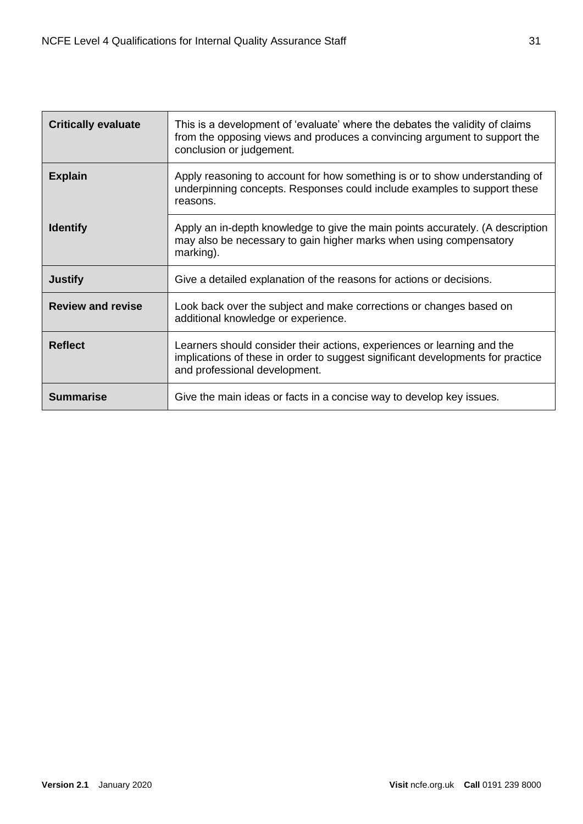| <b>Critically evaluate</b> | This is a development of 'evaluate' where the debates the validity of claims<br>from the opposing views and produces a convincing argument to support the<br>conclusion or judgement.       |
|----------------------------|---------------------------------------------------------------------------------------------------------------------------------------------------------------------------------------------|
| <b>Explain</b>             | Apply reasoning to account for how something is or to show understanding of<br>underpinning concepts. Responses could include examples to support these<br>reasons.                         |
| <b>Identify</b>            | Apply an in-depth knowledge to give the main points accurately. (A description<br>may also be necessary to gain higher marks when using compensatory<br>marking).                           |
| <b>Justify</b>             | Give a detailed explanation of the reasons for actions or decisions.                                                                                                                        |
| <b>Review and revise</b>   | Look back over the subject and make corrections or changes based on<br>additional knowledge or experience.                                                                                  |
| <b>Reflect</b>             | Learners should consider their actions, experiences or learning and the<br>implications of these in order to suggest significant developments for practice<br>and professional development. |
| Summarise                  | Give the main ideas or facts in a concise way to develop key issues.                                                                                                                        |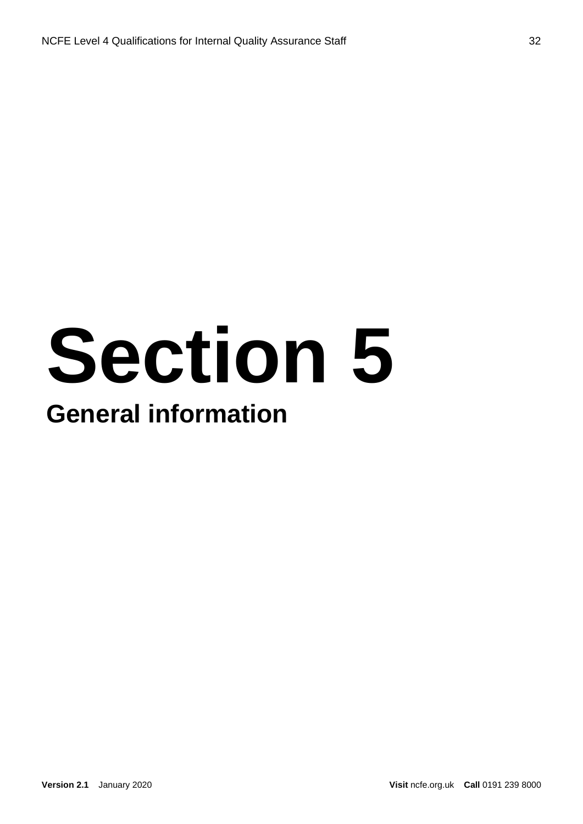### **Section 5 General information**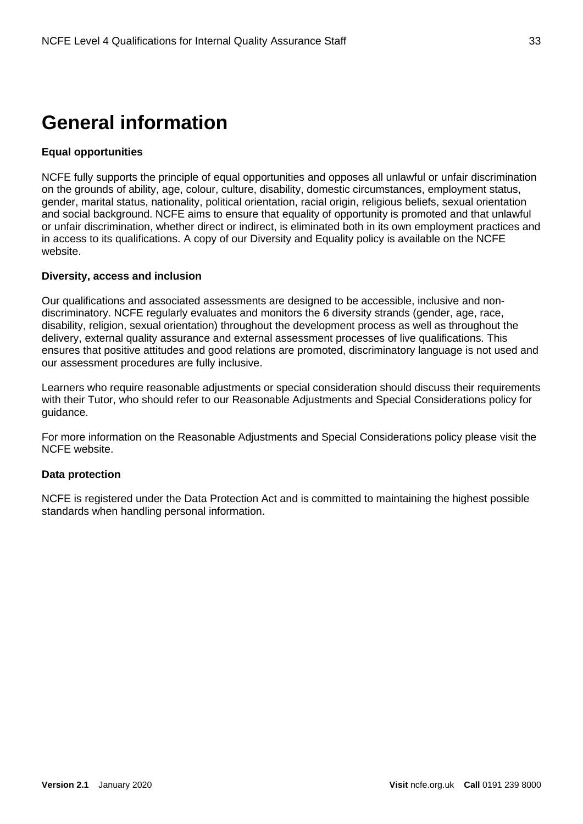#### **General information**

#### **Equal opportunities**

NCFE fully supports the principle of equal opportunities and opposes all unlawful or unfair discrimination on the grounds of ability, age, colour, culture, disability, domestic circumstances, employment status, gender, marital status, nationality, political orientation, racial origin, religious beliefs, sexual orientation and social background. NCFE aims to ensure that equality of opportunity is promoted and that unlawful or unfair discrimination, whether direct or indirect, is eliminated both in its own employment practices and in access to its qualifications. A copy of our Diversity and Equality policy is available on the NCFE website.

#### **Diversity, access and inclusion**

Our qualifications and associated assessments are designed to be accessible, inclusive and nondiscriminatory. NCFE regularly evaluates and monitors the 6 diversity strands (gender, age, race, disability, religion, sexual orientation) throughout the development process as well as throughout the delivery, external quality assurance and external assessment processes of live qualifications. This ensures that positive attitudes and good relations are promoted, discriminatory language is not used and our assessment procedures are fully inclusive.

Learners who require reasonable adjustments or special consideration should discuss their requirements with their Tutor, who should refer to our Reasonable Adjustments and Special Considerations policy for guidance.

For more information on the Reasonable Adjustments and Special Considerations policy please visit the NCFE website.

#### **Data protection**

NCFE is registered under the Data Protection Act and is committed to maintaining the highest possible standards when handling personal information.